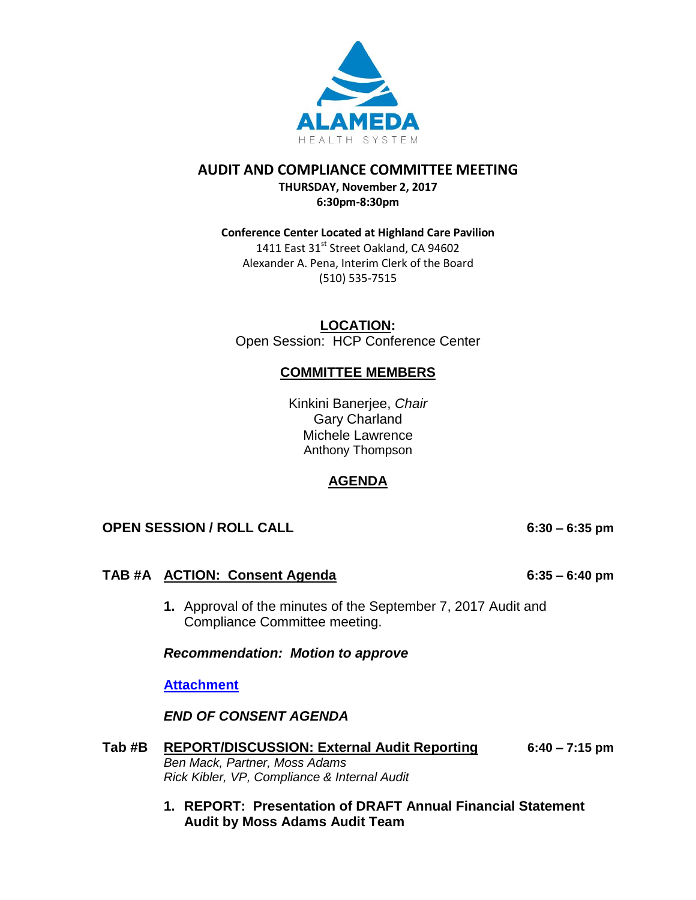

## **AUDIT AND COMPLIANCE COMMITTEE MEETING**

**THURSDAY, November 2, 2017 6:30pm-8:30pm**

# **Conference Center Located at Highland Care Pavilion** 1411 East 31<sup>st</sup> Street Oakland, CA 94602

Alexander A. Pena, Interim Clerk of the Board (510) 535-7515

**LOCATION:** Open Session: HCP Conference Center

# **COMMITTEE MEMBERS**

Kinkini Banerjee, *Chair* Gary Charland Michele Lawrence Anthony Thompson

# **AGENDA**

# **OPEN SESSION / ROLL CALL 6:30 – 6:35 pm**

# **TAB #A ACTION: Consent Agenda 6:35 – 6:40 pm**

- 
- **1.** Approval of the minutes of the September 7, 2017 Audit and Compliance Committee meeting.

*Recommendation: Motion to approve* 

## **[Attachment](http://www.alamedahealthsystem.org/wp-content/uploads/2017/10/Tab-A.-Audit-and-Compliance-Committee-Minutes.pdf)**

*END OF CONSENT AGENDA*

- **Tab #B REPORT/DISCUSSION: External Audit Reporting 6:40 – 7:15 pm** *Ben Mack, Partner, Moss Adams Rick Kibler, VP, Compliance & Internal Audit*
	- **1. REPORT: Presentation of DRAFT Annual Financial Statement Audit by Moss Adams Audit Team**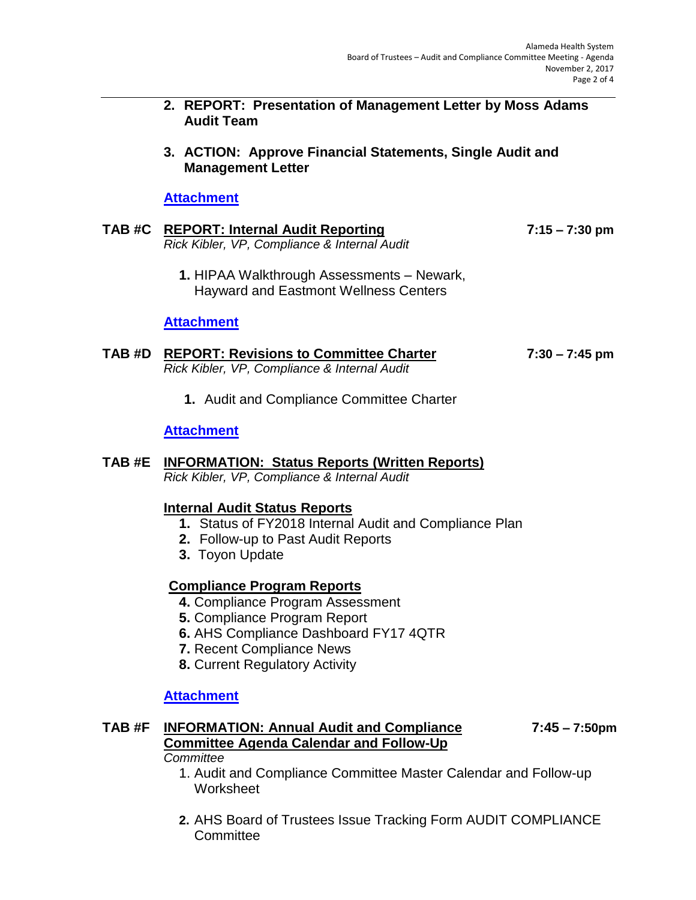- **2. REPORT: Presentation of Management Letter by Moss Adams Audit Team**
- **3. ACTION: Approve Financial Statements, Single Audit and Management Letter**

## **[Attachment](http://www.alamedahealthsystem.org/wp-content/uploads/2017/10/TAB-B.pdf)**

|  | TAB #C REPORT: Internal Audit Reporting      | 7:15 – 7:30 pm |
|--|----------------------------------------------|----------------|
|  | Rick Kibler, VP, Compliance & Internal Audit |                |

**1.** HIPAA Walkthrough Assessments – Newark, Hayward and Eastmont Wellness Centers

## **[Attachment](http://www.alamedahealthsystem.org/wp-content/uploads/2017/10/Tab-C1.-HIPAA-Walkthrough-Assessments-Newark-Hayward-Eastmont-Wellness-Centers-10-6-2017.pdf)**

#### **TAB #D REPORT: Revisions to Committee Charter 7:30 – 7:45 pm** *Rick Kibler, VP, Compliance & Internal Audit*

**1.** Audit and Compliance Committee Charter

## **[Attachment](http://www.alamedahealthsystem.org/wp-content/uploads/2017/10/TAB-D.pdf)**

#### **TAB #E INFORMATION: Status Reports (Written Reports)**  *Rick Kibler, VP, Compliance & Internal Audit*

### **Internal Audit Status Reports**

- **1.** Status of FY2018 Internal Audit and Compliance Plan
- **2.** Follow-up to Past Audit Reports
- **3.** Toyon Update

### **Compliance Program Reports**

- **4.** Compliance Program Assessment
- **5.** Compliance Program Report
- **6.** AHS Compliance Dashboard FY17 4QTR
- **7.** Recent Compliance News
- **8.** Current Regulatory Activity

### **[Attachment](http://www.alamedahealthsystem.org/wp-content/uploads/2017/10/Tab-E.pdf)**

### **TAB #F INFORMATION: Annual Audit and Compliance 7:45 – 7:50pm Committee Agenda Calendar and Follow-Up**

#### *Committee*

- 1. Audit and Compliance Committee Master Calendar and Follow-up Worksheet
- **2.** AHS Board of Trustees Issue Tracking Form AUDIT COMPLIANCE **Committee**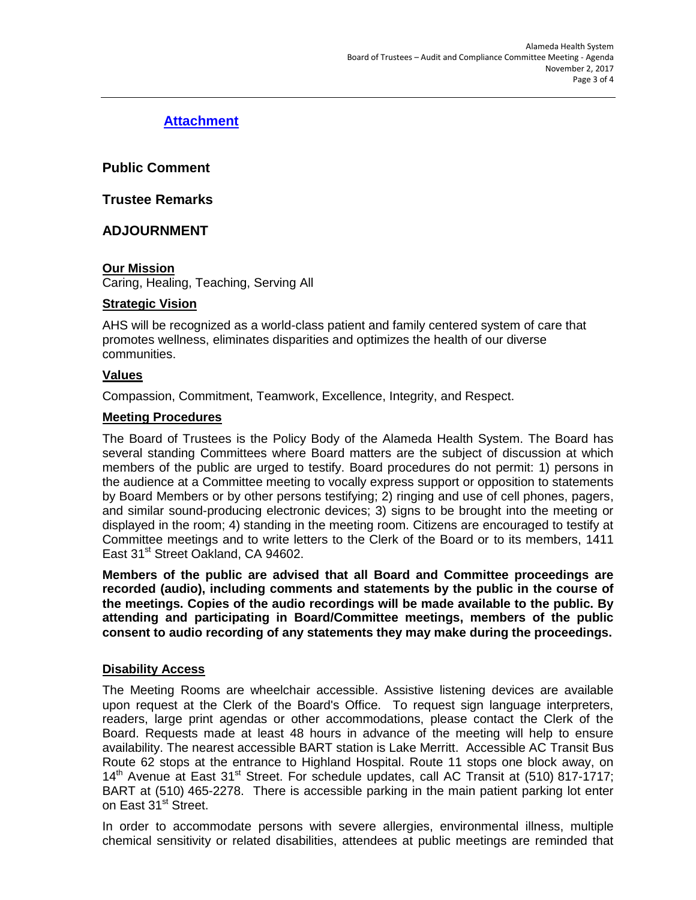# **[Attachment](http://www.alamedahealthsystem.org/wp-content/uploads/2017/10/Tab-F.pdf)**

**Public Comment**

**Trustee Remarks**

## **ADJOURNMENT**

### **Our Mission**

Caring, Healing, Teaching, Serving All

#### **Strategic Vision**

AHS will be recognized as a world-class patient and family centered system of care that promotes wellness, eliminates disparities and optimizes the health of our diverse communities.

#### **Values**

Compassion, Commitment, Teamwork, Excellence, Integrity, and Respect.

#### **Meeting Procedures**

The Board of Trustees is the Policy Body of the Alameda Health System. The Board has several standing Committees where Board matters are the subject of discussion at which members of the public are urged to testify. Board procedures do not permit: 1) persons in the audience at a Committee meeting to vocally express support or opposition to statements by Board Members or by other persons testifying; 2) ringing and use of cell phones, pagers, and similar sound-producing electronic devices; 3) signs to be brought into the meeting or displayed in the room; 4) standing in the meeting room. Citizens are encouraged to testify at Committee meetings and to write letters to the Clerk of the Board or to its members, 1411 East 31<sup>st</sup> Street Oakland, CA 94602.

**Members of the public are advised that all Board and Committee proceedings are recorded (audio), including comments and statements by the public in the course of the meetings. Copies of the audio recordings will be made available to the public. By attending and participating in Board/Committee meetings, members of the public consent to audio recording of any statements they may make during the proceedings.** 

### **Disability Access**

The Meeting Rooms are wheelchair accessible. Assistive listening devices are available upon request at the Clerk of the Board's Office. To request sign language interpreters, readers, large print agendas or other accommodations, please contact the Clerk of the Board. Requests made at least 48 hours in advance of the meeting will help to ensure availability. The nearest accessible BART station is Lake Merritt. Accessible AC Transit Bus Route 62 stops at the entrance to Highland Hospital. Route 11 stops one block away, on  $14<sup>th</sup>$  Avenue at East  $31<sup>st</sup>$  Street. For schedule updates, call AC Transit at (510) 817-1717; BART at (510) 465-2278. There is accessible parking in the main patient parking lot enter on East 31<sup>st</sup> Street.

In order to accommodate persons with severe allergies, environmental illness, multiple chemical sensitivity or related disabilities, attendees at public meetings are reminded that